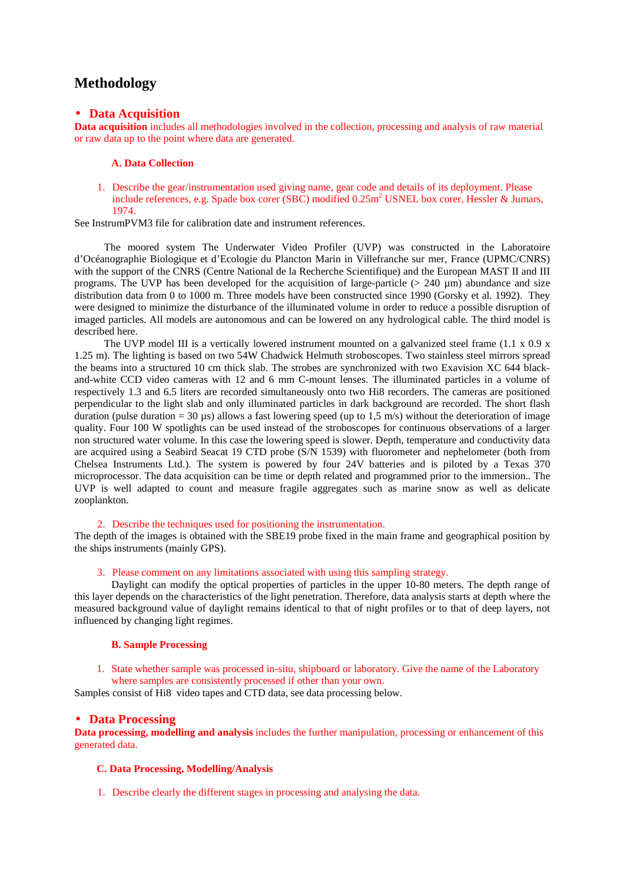# **Methodology**

# • **Data Acquisition**

**Data acquisition** includes all methodologies involved in the collection, processing and analysis of raw material or raw data up to the point where data are generated.

#### **A. Data Collection**

1. Describe the gear/instrumentation used giving name, gear code and details of its deployment. Please include references, e.g. Spade box corer (SBC) modified  $0.25m^2$  USNEL box corer, Hessler & Jumars, 1974.

See InstrumPVM3 file for calibration date and instrument references.

The moored system The Underwater Video Profiler (UVP) was constructed in the Laboratoire d'Océanographie Biologique et d'Ecologie du Plancton Marin in Villefranche sur mer, France (UPMC/CNRS) with the support of the CNRS (Centre National de la Recherche Scientifique) and the European MAST II and III programs. The UVP has been developed for the acquisition of large-particle ( $> 240 \mu m$ ) abundance and size distribution data from 0 to 1000 m. Three models have been constructed since 1990 (Gorsky et al. 1992). They were designed to minimize the disturbance of the illuminated volume in order to reduce a possible disruption of imaged particles. All models are autonomous and can be lowered on any hydrological cable. The third model is described here.

The UVP model III is a vertically lowered instrument mounted on a galvanized steel frame  $(1.1 \times 0.9 \times$ 1.25 m). The lighting is based on two 54W Chadwick Helmuth stroboscopes. Two stainless steel mirrors spread the beams into a structured 10 cm thick slab. The strobes are synchronized with two Exavision XC 644 blackand-white CCD video cameras with 12 and 6 mm C-mount lenses. The illuminated particles in a volume of respectively 1.3 and 6.5 liters are recorded simultaneously onto two Hi8 recorders. The cameras are positioned perpendicular to the light slab and only illuminated particles in dark background are recorded. The short flash duration (pulse duration = 30 µs) allows a fast lowering speed (up to 1,5 m/s) without the deterioration of image quality. Four 100 W spotlights can be used instead of the stroboscopes for continuous observations of a larger non structured water volume. In this case the lowering speed is slower. Depth, temperature and conductivity data are acquired using a Seabird Seacat 19 CTD probe (S/N 1539) with fluorometer and nephelometer (both from Chelsea Instruments Ltd.). The system is powered by four 24V batteries and is piloted by a Texas 370 microprocessor. The data acquisition can be time or depth related and programmed prior to the immersion.. The UVP is well adapted to count and measure fragile aggregates such as marine snow as well as delicate zooplankton.

## 2. Describe the techniques used for positioning the instrumentation.

The depth of the images is obtained with the SBE19 probe fixed in the main frame and geographical position by the ships instruments (mainly GPS).

## 3. Please comment on any limitations associated with using this sampling strategy.

Daylight can modify the optical properties of particles in the upper 10-80 meters. The depth range of this layer depends on the characteristics of the light penetration. Therefore, data analysis starts at depth where the measured background value of daylight remains identical to that of night profiles or to that of deep layers, not influenced by changing light regimes.

#### **B. Sample Processing**

1. State whether sample was processed in-situ, shipboard or laboratory. Give the name of the Laboratory where samples are consistently processed if other than your own.

Samples consist of Hi8 video tapes and CTD data, see data processing below.

## • **Data Processing**

**Data processing, modelling and analysis** includes the further manipulation, processing or enhancement of this generated data.

## **C. Data Processing, Modelling/Analysis**

1. Describe clearly the different stages in processing and analysing the data.